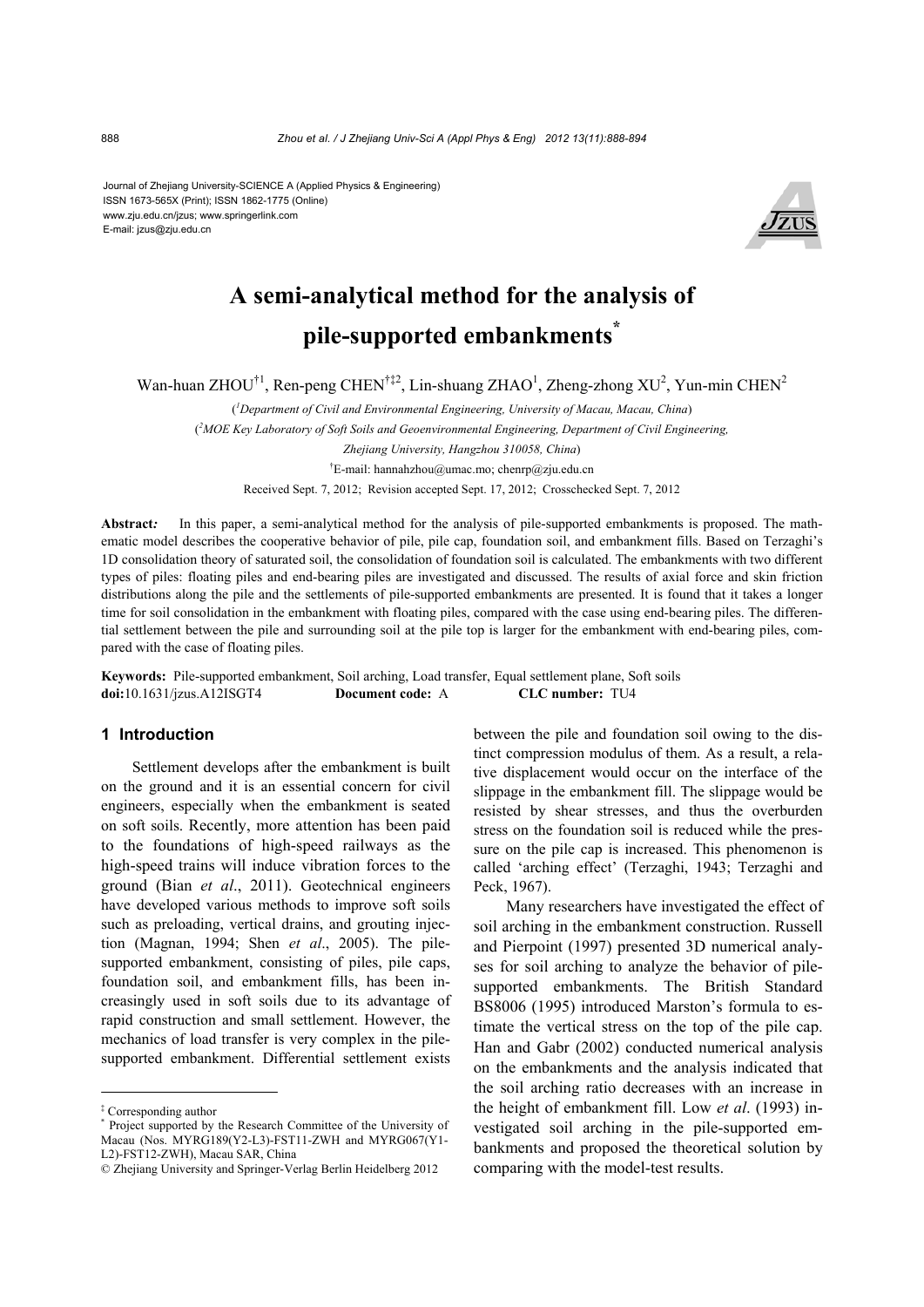Journal of Zhejiang University-SCIENCE A (Applied Physics & Engineering) ISSN 1673-565X (Print); ISSN 1862-1775 (Online) www.zju.edu.cn/jzus; www.springerlink.com E-mail: jzus@zju.edu.cn



# **A semi-analytical method for the analysis of pile-supported embankments\***

Wan-huan ZHOU<sup>†1</sup>, Ren-peng CHEN<sup>†‡2</sup>, Lin-shuang ZHAO<sup>1</sup>, Zheng-zhong XU<sup>2</sup>, Yun-min CHEN<sup>2</sup>

( *1 Department of Civil and Environmental Engineering, University of Macau, Macau, China*)

( *2 MOE Key Laboratory of Soft Soils and Geoenvironmental Engineering, Department of Civil Engineering,* 

*Zhejiang University, Hangzhou 310058, China*)

<sup>†</sup>E-mail: hannahzhou@umac.mo; chenrp@zju.edu.cn

Received Sept. 7, 2012; Revision accepted Sept. 17, 2012; Crosschecked Sept. 7, 2012

**Abstract***:* In this paper, a semi-analytical method for the analysis of pile-supported embankments is proposed. The mathematic model describes the cooperative behavior of pile, pile cap, foundation soil, and embankment fills. Based on Terzaghi's 1D consolidation theory of saturated soil, the consolidation of foundation soil is calculated. The embankments with two different types of piles: floating piles and end-bearing piles are investigated and discussed. The results of axial force and skin friction distributions along the pile and the settlements of pile-supported embankments are presented. It is found that it takes a longer time for soil consolidation in the embankment with floating piles, compared with the case using end-bearing piles. The differential settlement between the pile and surrounding soil at the pile top is larger for the embankment with end-bearing piles, compared with the case of floating piles.

**Keywords:**Pile-supported embankment, Soil arching, Load transfer, Equal settlement plane, Soft soils **doi:**10.1631/jzus.A12ISGT4 **Document code:** A **CLC number:** TU4

#### **1 Introduction**

Settlement develops after the embankment is built on the ground and it is an essential concern for civil engineers, especially when the embankment is seated on soft soils. Recently, more attention has been paid to the foundations of high-speed railways as the high-speed trains will induce vibration forces to the ground (Bian *et al*., 2011). Geotechnical engineers have developed various methods to improve soft soils such as preloading, vertical drains, and grouting injection (Magnan, 1994; Shen *et al*., 2005). The pilesupported embankment, consisting of piles, pile caps, foundation soil, and embankment fills, has been increasingly used in soft soils due to its advantage of rapid construction and small settlement. However, the mechanics of load transfer is very complex in the pilesupported embankment. Differential settlement exists between the pile and foundation soil owing to the distinct compression modulus of them. As a result, a relative displacement would occur on the interface of the slippage in the embankment fill. The slippage would be resisted by shear stresses, and thus the overburden stress on the foundation soil is reduced while the pressure on the pile cap is increased. This phenomenon is called 'arching effect' (Terzaghi, 1943; Terzaghi and Peck, 1967).

Many researchers have investigated the effect of soil arching in the embankment construction. Russell and Pierpoint (1997) presented 3D numerical analyses for soil arching to analyze the behavior of pilesupported embankments. The British Standard BS8006 (1995) introduced Marston's formula to estimate the vertical stress on the top of the pile cap. Han and Gabr (2002) conducted numerical analysis on the embankments and the analysis indicated that the soil arching ratio decreases with an increase in the height of embankment fill. Low *et al*. (1993) investigated soil arching in the pile-supported embankments and proposed the theoretical solution by comparing with the model-test results.

<sup>‡</sup> Corresponding author

<sup>\*</sup> Project supported by the Research Committee of the University of Macau (Nos. MYRG189(Y2-L3)-FST11-ZWH and MYRG067(Y1- L2)-FST12-ZWH), Macau SAR, China

<sup>©</sup> Zhejiang University and Springer-Verlag Berlin Heidelberg 2012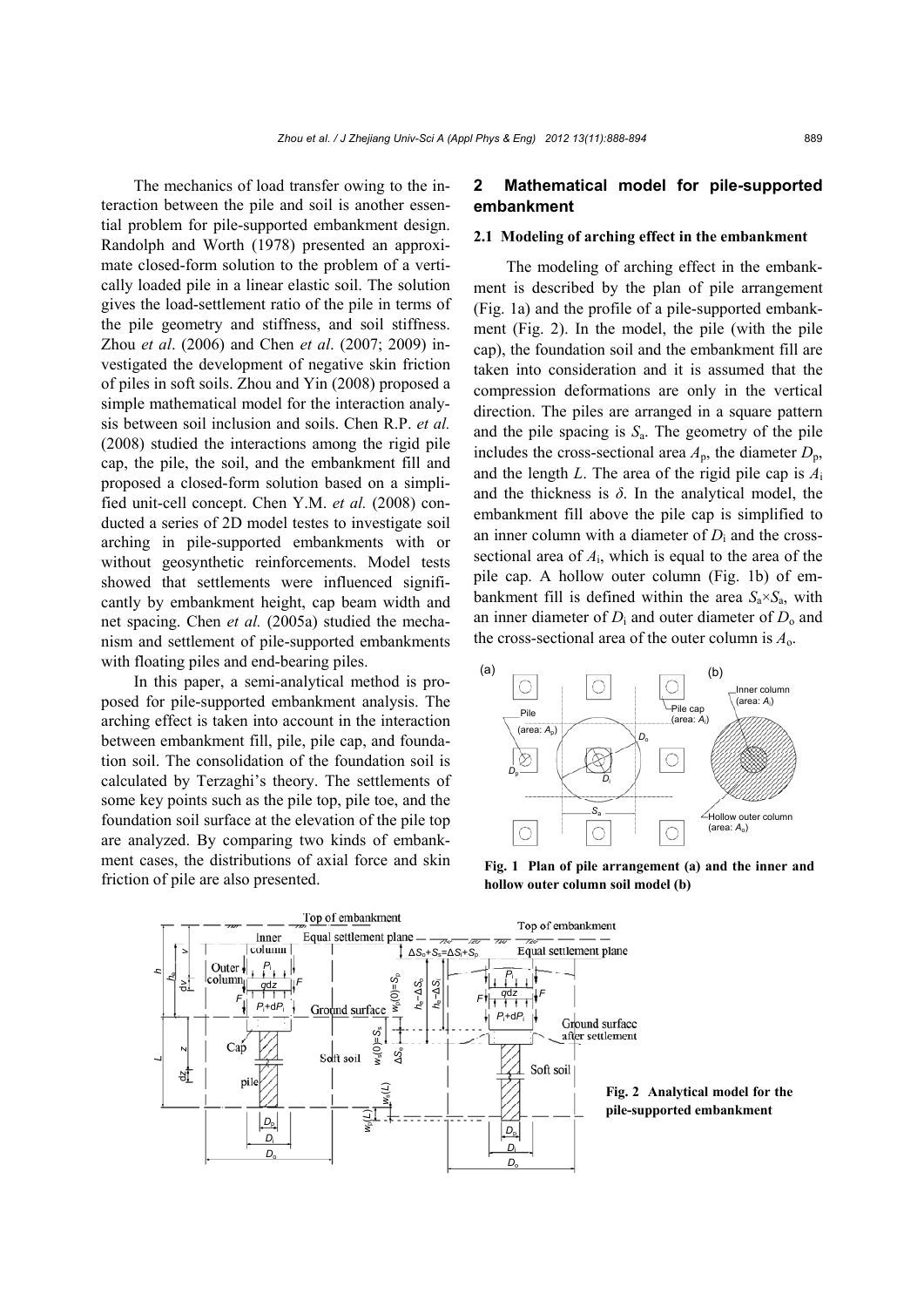The mechanics of load transfer owing to the interaction between the pile and soil is another essential problem for pile-supported embankment design. Randolph and Worth (1978) presented an approximate closed-form solution to the problem of a vertically loaded pile in a linear elastic soil. The solution gives the load-settlement ratio of the pile in terms of the pile geometry and stiffness, and soil stiffness. Zhou *et al*. (2006) and Chen *et al*. (2007; 2009) investigated the development of negative skin friction of piles in soft soils. Zhou and Yin (2008) proposed a simple mathematical model for the interaction analysis between soil inclusion and soils. Chen R.P. *et al.* (2008) studied the interactions among the rigid pile cap, the pile, the soil, and the embankment fill and proposed a closed-form solution based on a simplified unit-cell concept. Chen Y.M. *et al.* (2008) conducted a series of 2D model testes to investigate soil arching in pile-supported embankments with or without geosynthetic reinforcements. Model tests showed that settlements were influenced significantly by embankment height, cap beam width and net spacing. Chen *et al.* (2005a) studied the mechanism and settlement of pile-supported embankments with floating piles and end-bearing piles.

In this paper, a semi-analytical method is proposed for pile-supported embankment analysis. The arching effect is taken into account in the interaction between embankment fill, pile, pile cap, and foundation soil. The consolidation of the foundation soil is calculated by Terzaghi's theory. The settlements of some key points such as the pile top, pile toe, and the foundation soil surface at the elevation of the pile top are analyzed. By comparing two kinds of embankment cases, the distributions of axial force and skin friction of pile are also presented.

## **2 Mathematical model for pile-supported embankment**

#### **2.1 Modeling of arching effect in the embankment**

The modeling of arching effect in the embankment is described by the plan of pile arrangement (Fig. 1a) and the profile of a pile-supported embankment (Fig. 2). In the model, the pile (with the pile cap), the foundation soil and the embankment fill are taken into consideration and it is assumed that the compression deformations are only in the vertical direction. The piles are arranged in a square pattern and the pile spacing is  $S_a$ . The geometry of the pile includes the cross-sectional area  $A_p$ , the diameter  $D_p$ , and the length *L*. The area of the rigid pile cap is *A*<sup>i</sup> and the thickness is  $\delta$ . In the analytical model, the embankment fill above the pile cap is simplified to an inner column with a diameter of  $D_i$  and the crosssectional area of *A*i, which is equal to the area of the pile cap. A hollow outer column (Fig. 1b) of embankment fill is defined within the area  $S_a \times S_a$ , with an inner diameter of  $D_i$  and outer diameter of  $D_0$  and the cross-sectional area of the outer column is *A*o.



**Fig. 1 Plan of pile arrangement (a) and the inner and hollow outer column soil model (b)** 



**Fig. 2 Analytical model for the pile-supported embankment**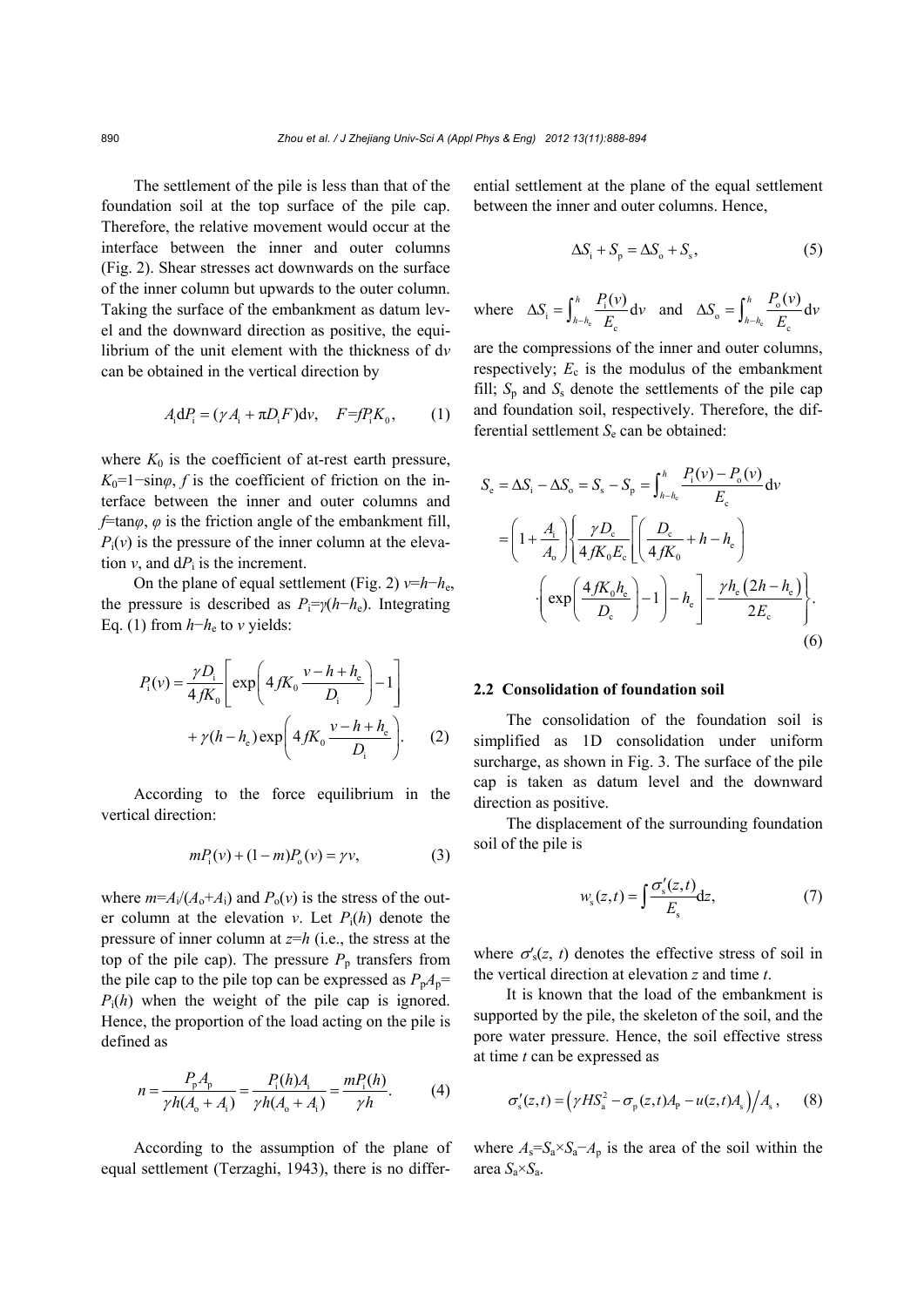The settlement of the pile is less than that of the foundation soil at the top surface of the pile cap. Therefore, the relative movement would occur at the interface between the inner and outer columns (Fig. 2). Shear stresses act downwards on the surface of the inner column but upwards to the outer column. Taking the surface of the embankment as datum level and the downward direction as positive, the equilibrium of the unit element with the thickness of d*v* can be obtained in the vertical direction by

$$
A_i dP_i = (\gamma A_i + \pi D_i F) d\nu, \quad F = f P_i K_0, \quad (1)
$$

where  $K_0$  is the coefficient of at-rest earth pressure,  $K_0$ =1−sin $\varphi$ , *f* is the coefficient of friction on the interface between the inner and outer columns and *f*=tan*φ*, *φ* is the friction angle of the embankment fill,  $P_i(v)$  is the pressure of the inner column at the elevation  $v$ , and  $dP_i$  is the increment.

On the plane of equal settlement (Fig. 2)  $v=h-h_e$ , the pressure is described as  $P_i = \gamma(h - h_e)$ . Integrating Eq. (1) from *h*−*h*e to *v* yields:

$$
P_{i}(v) = \frac{\gamma D_{i}}{4fK_{0}} \left[ \exp\left( 4fK_{0} \frac{v - h + h_{e}}{D_{i}} \right) - 1 \right]
$$

$$
+ \gamma (h - h_{e}) \exp\left( 4fK_{0} \frac{v - h + h_{e}}{D_{i}} \right). \tag{2}
$$

According to the force equilibrium in the vertical direction:

$$
mP_i(v) + (1 - m)P_o(v) = \gamma v,\tag{3}
$$

where  $m=A_i/(A_0+A_i)$  and  $P_0(v)$  is the stress of the outer column at the elevation *v*. Let  $P_i(h)$  denote the pressure of inner column at *z*=*h* (i.e., the stress at the top of the pile cap). The pressure  $P_p$  transfers from the pile cap to the pile top can be expressed as  $P_pA_p$ =  $P_i(h)$  when the weight of the pile cap is ignored. Hence, the proportion of the load acting on the pile is defined as

$$
n = \frac{P_{\rm p}A_{\rm p}}{\gamma h(A_{\rm o} + A_{\rm i})} = \frac{P_{\rm i}(h)A_{\rm i}}{\gamma h(A_{\rm o} + A_{\rm i})} = \frac{mP_{\rm i}(h)}{\gamma h}.
$$
 (4)

According to the assumption of the plane of equal settlement (Terzaghi, 1943), there is no differential settlement at the plane of the equal settlement between the inner and outer columns. Hence,

$$
\Delta S_{\rm i} + S_{\rm p} = \Delta S_{\rm o} + S_{\rm s},\tag{5}
$$

where 
$$
\Delta S_i = \int_{h-h_c}^{h} \frac{P_i(v)}{E_c} dv
$$
 and  $\Delta S_o = \int_{h-h_c}^{h} \frac{P_o(v)}{E_c} dv$ 

are the compressions of the inner and outer columns, respectively;  $E_c$  is the modulus of the embankment fill;  $S_p$  and  $S_s$  denote the settlements of the pile cap and foundation soil, respectively. Therefore, the differential settlement  $S_e$  can be obtained:

$$
S_{\rm e} = \Delta S_{\rm i} - \Delta S_{\rm o} = S_{\rm s} - S_{\rm p} = \int_{h-h_{\rm e}}^{h} \frac{P_{\rm i}(v) - P_{\rm o}(v)}{E_{\rm c}} dv
$$
  
=  $\left(1 + \frac{A_{\rm i}}{A_{\rm o}}\right) \left\{\frac{\gamma D_{\rm c}}{4fK_{\rm o}E_{\rm c}} \left[\left(\frac{D_{\rm c}}{4fK_{\rm o}} + h - h_{\rm e}\right) - \left(\frac{4fK_{\rm o}h_{\rm e}}{D_{\rm c}}\right) - 1\right] - h_{\rm e}\right\} - \frac{\gamma h_{\rm e}(2h - h_{\rm e})}{2E_{\rm c}}.$  (6)

#### **2.2 Consolidation of foundation soil**

The consolidation of the foundation soil is simplified as 1D consolidation under uniform surcharge, as shown in Fig. 3. The surface of the pile cap is taken as datum level and the downward direction as positive.

The displacement of the surrounding foundation soil of the pile is

$$
w_{s}(z,t) = \int \frac{\sigma'_{s}(z,t)}{E_{s}} \mathrm{d}z, \tag{7}
$$

where  $\sigma'_{s}(z, t)$  denotes the effective stress of soil in the vertical direction at elevation *z* and time *t*.

It is known that the load of the embankment is supported by the pile, the skeleton of the soil, and the pore water pressure. Hence, the soil effective stress at time *t* can be expressed as

$$
\sigma'_{s}(z,t) = \left(\gamma H S_{a}^{2} - \sigma_{p}(z,t)A_{p} - u(z,t)A_{s}\right) / A_{s}, \quad (8)
$$

where  $A_s = S_a \times S_a - A_p$  is the area of the soil within the area  $S_a \times S_a$ .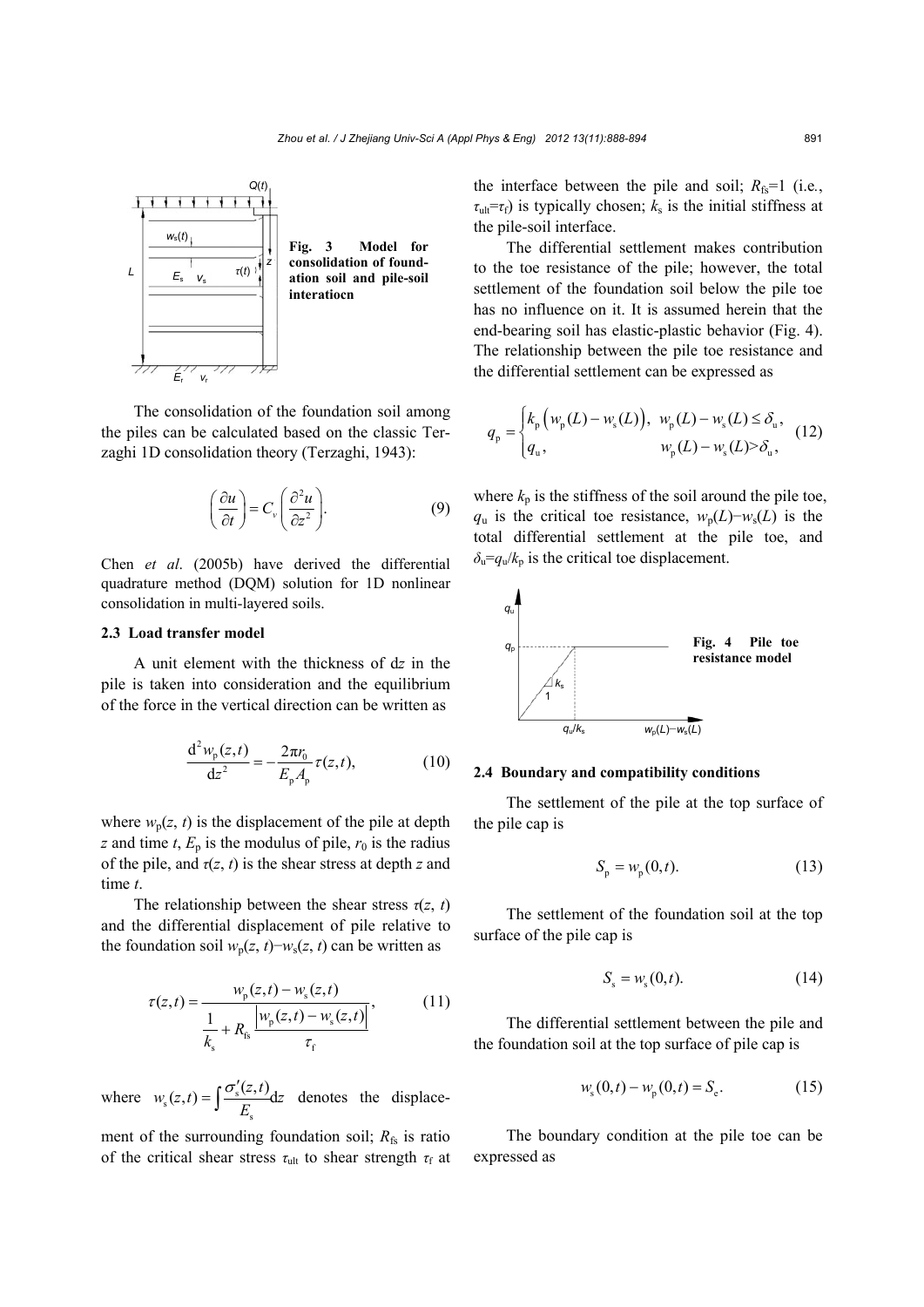

The consolidation of the foundation soil among the piles can be calculated based on the classic Terzaghi 1D consolidation theory (Terzaghi, 1943):

$$
\left(\frac{\partial u}{\partial t}\right) = C_v \left(\frac{\partial^2 u}{\partial z^2}\right).
$$
\n(9)

Chen *et al*. (2005b) have derived the differential quadrature method (DQM) solution for 1D nonlinear consolidation in multi-layered soils.

## **2.3 Load transfer model**

A unit element with the thickness of d*z* in the pile is taken into consideration and the equilibrium of the force in the vertical direction can be written as

$$
\frac{d^2 w_p(z,t)}{dz^2} = -\frac{2\pi r_0}{E_p A_p} \tau(z,t),
$$
 (10)

where  $w_p(z, t)$  is the displacement of the pile at depth *z* and time *t*,  $E_p$  is the modulus of pile,  $r_0$  is the radius of the pile, and  $\tau(z, t)$  is the shear stress at depth *z* and time *t*.

The relationship between the shear stress  $\tau(z, t)$ and the differential displacement of pile relative to the foundation soil  $w_p(z, t)$ − $w_s(z, t)$  can be written as

$$
\tau(z,t) = \frac{w_{\rm p}(z,t) - w_{\rm s}(z,t)}{\frac{1}{k_{\rm s}} + R_{\rm fs} \frac{|w_{\rm p}(z,t) - w_{\rm s}(z,t)|}{\tau_{\rm f}}},\tag{11}
$$

where  $w_s(z,t) = \left[\frac{S_s}{s}\right]$ s  $w_s(z,t) = \int \frac{\sigma'_s(z,t)}{z} dz$  $=\int \frac{\sigma'_{s}(z,t)}{E_{s}}dz$  denotes the displace-

ment of the surrounding foundation soil;  $R_{fs}$  is ratio of the critical shear stress  $τ$ <sub>ult</sub> to shear strength  $τ$ <sub>f</sub> at the interface between the pile and soil;  $R_f = 1$  (i.e.,  $\tau_{ult} = \tau_f$ ) is typically chosen;  $k_s$  is the initial stiffness at the pile-soil interface.

The differential settlement makes contribution to the toe resistance of the pile; however, the total settlement of the foundation soil below the pile toe has no influence on it. It is assumed herein that the end-bearing soil has elastic-plastic behavior (Fig. 4). The relationship between the pile toe resistance and the differential settlement can be expressed as

$$
q_{\rm p} = \begin{cases} k_{\rm p} \left( w_{\rm p}(L) - w_{\rm s}(L) \right), & w_{\rm p}(L) - w_{\rm s}(L) \le \delta_{\rm u}, \\ q_{\rm u}, & w_{\rm p}(L) - w_{\rm s}(L) > \delta_{\rm u}, \end{cases} \tag{12}
$$

where  $k_p$  is the stiffness of the soil around the pile toe,  $q_u$  is the critical toe resistance,  $w_p(L)$ − $w_s(L)$  is the total differential settlement at the pile toe, and  $\delta_u = q_u/k_p$  is the critical toe displacement.



## **2.4 Boundary and compatibility conditions**

The settlement of the pile at the top surface of the pile cap is

$$
S_{\mathsf{p}} = w_{\mathsf{p}}(0,t). \tag{13}
$$

The settlement of the foundation soil at the top surface of the pile cap is

$$
S_{\rm s} = w_{\rm s}(0,t). \tag{14}
$$

The differential settlement between the pile and the foundation soil at the top surface of pile cap is

$$
w_{\rm s}(0,t) - w_{\rm p}(0,t) = S_{\rm e}.
$$
 (15)

The boundary condition at the pile toe can be expressed as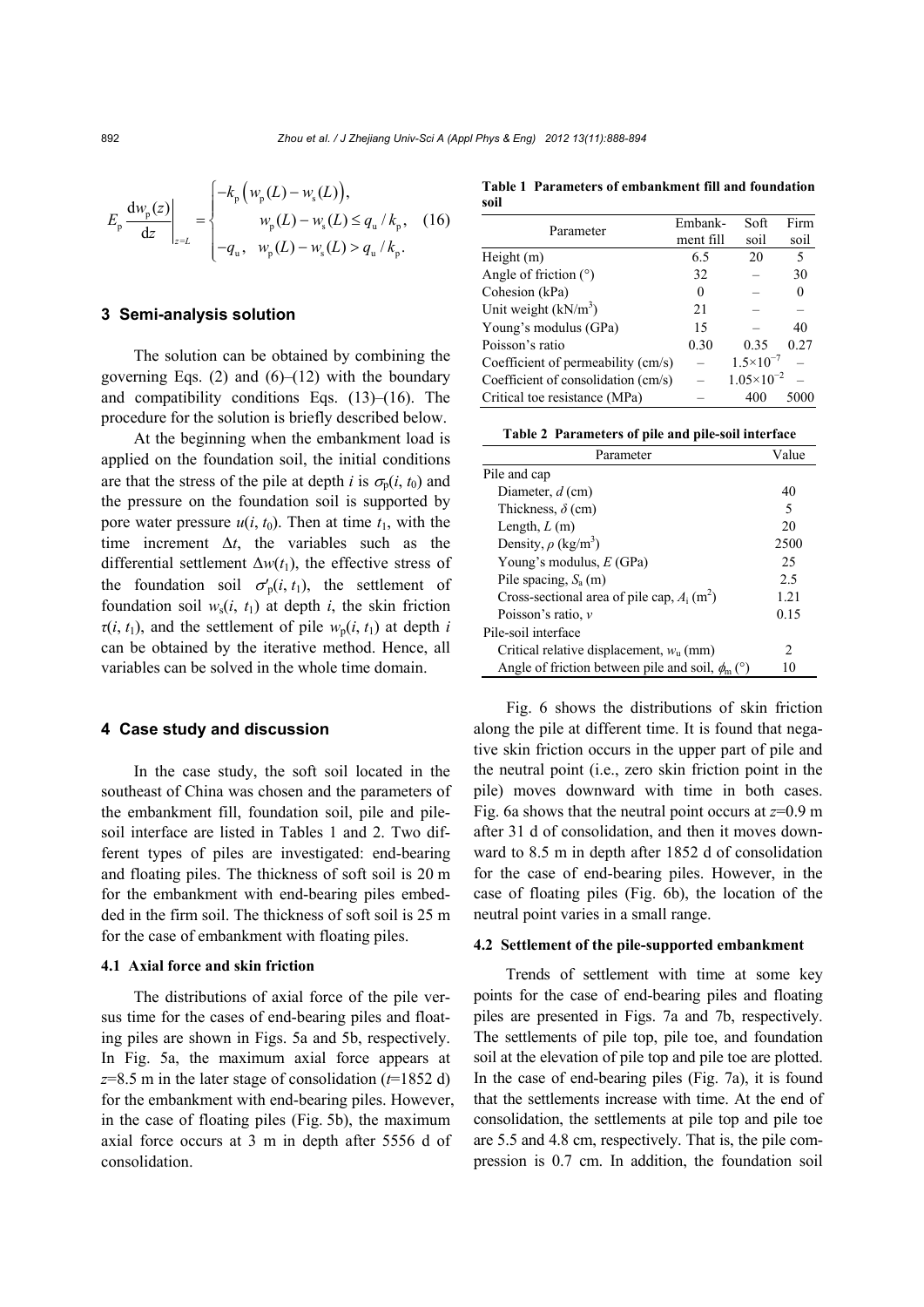$$
E_{\rm p} \frac{d w_{\rm p}(z)}{dz} \Big|_{z=L} = \begin{cases} -k_{\rm p} \left( w_{\rm p}(L) - w_{\rm s}(L) \right), \\ w_{\rm p}(L) - w_{\rm s}(L) \le q_{\rm u} / k_{\rm p}, \\ -q_{\rm u}, \quad w_{\rm p}(L) - w_{\rm s}(L) > q_{\rm u} / k_{\rm p}. \end{cases} (16)
$$

## **3 Semi-analysis solution**

The solution can be obtained by combining the governing Eqs.  $(2)$  and  $(6)$ – $(12)$  with the boundary and compatibility conditions Eqs. (13)–(16). The procedure for the solution is briefly described below.

At the beginning when the embankment load is applied on the foundation soil, the initial conditions are that the stress of the pile at depth *i* is  $\sigma_p(i, t_0)$  and the pressure on the foundation soil is supported by pore water pressure  $u(i, t_0)$ . Then at time  $t_1$ , with the time increment  $\Delta t$ , the variables such as the differential settlement  $\Delta w(t_1)$ , the effective stress of the foundation soil  $\sigma'_{p}(i, t_1)$ , the settlement of foundation soil  $w_s(i, t_1)$  at depth *i*, the skin friction  $\tau(i, t_1)$ , and the settlement of pile  $w_p(i, t_1)$  at depth *i* can be obtained by the iterative method. Hence, all variables can be solved in the whole time domain.

#### **4 Case study and discussion**

In the case study, the soft soil located in the southeast of China was chosen and the parameters of the embankment fill, foundation soil, pile and pilesoil interface are listed in Tables 1 and 2. Two different types of piles are investigated: end-bearing and floating piles. The thickness of soft soil is 20 m for the embankment with end-bearing piles embedded in the firm soil. The thickness of soft soil is 25 m for the case of embankment with floating piles.

### **4.1 Axial force and skin friction**

The distributions of axial force of the pile versus time for the cases of end-bearing piles and floating piles are shown in Figs. 5a and 5b, respectively. In Fig. 5a, the maximum axial force appears at *z*=8.5 m in the later stage of consolidation (*t*=1852 d) for the embankment with end-bearing piles. However, in the case of floating piles (Fig. 5b), the maximum axial force occurs at 3 m in depth after 5556 d of consolidation.

**Table 1 Parameters of embankment fill and foundation soil**

| Parameter                           | Embank-   | Soft                  | Firm |
|-------------------------------------|-----------|-----------------------|------|
|                                     | ment fill | soil                  | soil |
| Height $(m)$                        | 6.5       | 20                    | 5    |
| Angle of friction $(°)$             | 32        |                       | 30   |
| Cohesion (kPa)                      | 0         |                       |      |
| Unit weight $(kN/m3)$               | 21        |                       |      |
| Young's modulus (GPa)               | 15        |                       | 40   |
| Poisson's ratio                     | 0.30      | 0.35                  | 0.27 |
| Coefficient of permeability (cm/s)  |           | $1.5 \times 10^{-7}$  |      |
| Coefficient of consolidation (cm/s) |           | $1.05 \times 10^{-2}$ |      |
| Critical toe resistance (MPa)       |           | 400                   |      |

| Table 2 Parameters of pile and pile-soil interface |  |  |  |  |
|----------------------------------------------------|--|--|--|--|
|----------------------------------------------------|--|--|--|--|

| Parameter                                                 | Value         |
|-----------------------------------------------------------|---------------|
| Pile and cap                                              |               |
| Diameter, $d$ (cm)                                        | 40            |
| Thickness, $\delta$ (cm)                                  | 5             |
| Length, $L(m)$                                            | 20            |
| Density, $\rho$ (kg/m <sup>3</sup> )                      | 2500          |
| Young's modulus, $E(GPa)$                                 | 25            |
| Pile spacing, $S_a$ (m)                                   | 2.5           |
| Cross-sectional area of pile cap, $A_i$ (m <sup>2</sup> ) | 1 21          |
| Poisson's ratio, $\nu$                                    | 0.15          |
| Pile-soil interface                                       |               |
| Critical relative displacement, $wn$ (mm)                 | $\mathcal{D}$ |
| Angle of friction between pile and soil, $\phi_m$ (°)     | 10            |

Fig. 6 shows the distributions of skin friction along the pile at different time. It is found that negative skin friction occurs in the upper part of pile and the neutral point (i.e., zero skin friction point in the pile) moves downward with time in both cases. Fig. 6a shows that the neutral point occurs at *z*=0.9 m after 31 d of consolidation, and then it moves downward to 8.5 m in depth after 1852 d of consolidation for the case of end-bearing piles. However, in the case of floating piles (Fig. 6b), the location of the neutral point varies in a small range.

#### **4.2 Settlement of the pile-supported embankment**

Trends of settlement with time at some key points for the case of end-bearing piles and floating piles are presented in Figs. 7a and 7b, respectively. The settlements of pile top, pile toe, and foundation soil at the elevation of pile top and pile toe are plotted. In the case of end-bearing piles (Fig. 7a), it is found that the settlements increase with time. At the end of consolidation, the settlements at pile top and pile toe are 5.5 and 4.8 cm, respectively. That is, the pile compression is 0.7 cm. In addition, the foundation soil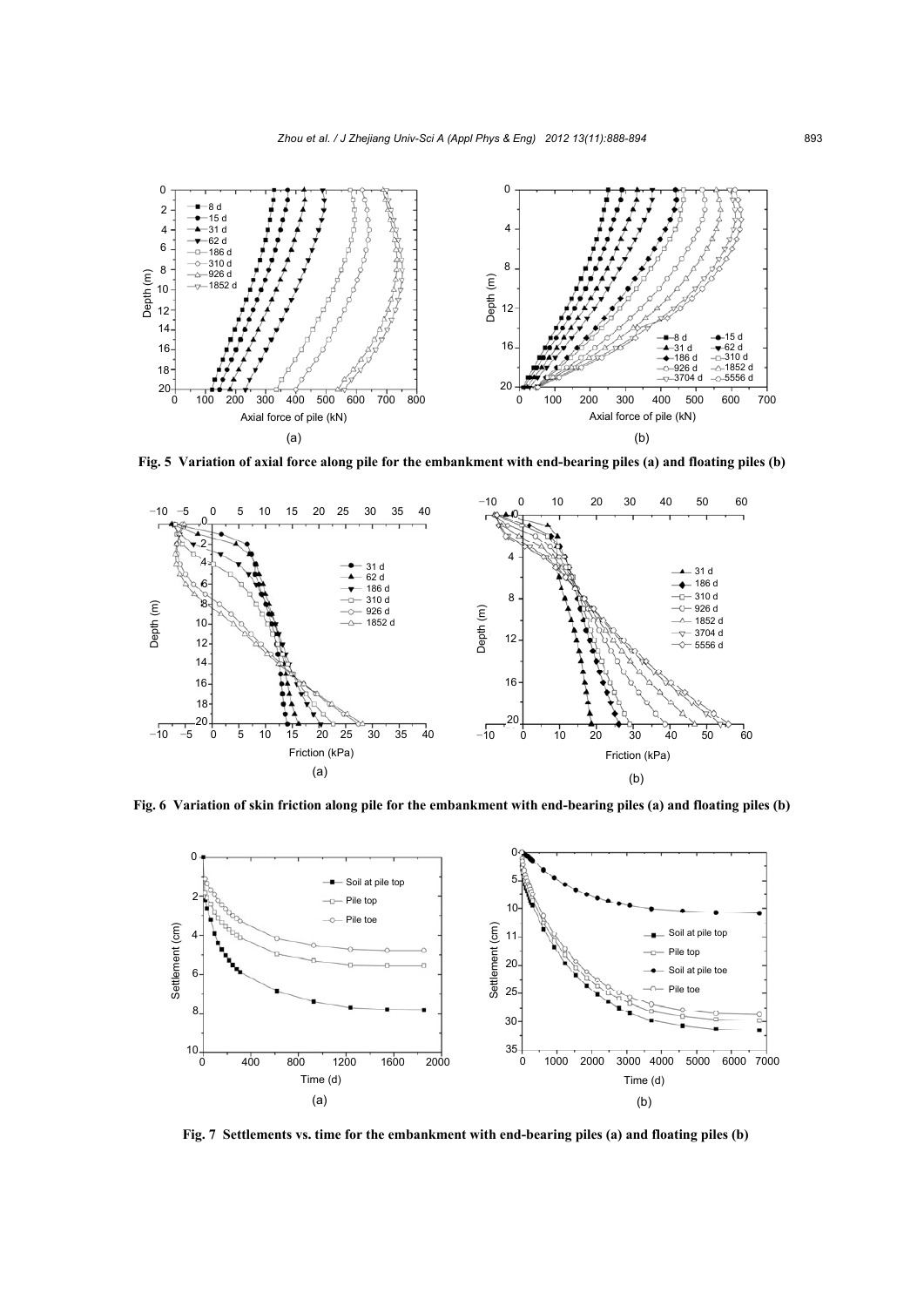

**Fig. 5 Variation of axial force along pile for the embankment with end-bearing piles (a) and floating piles (b)**





**Fig. 7 Settlements vs. time for the embankment with end-bearing piles (a) and floating piles (b)**